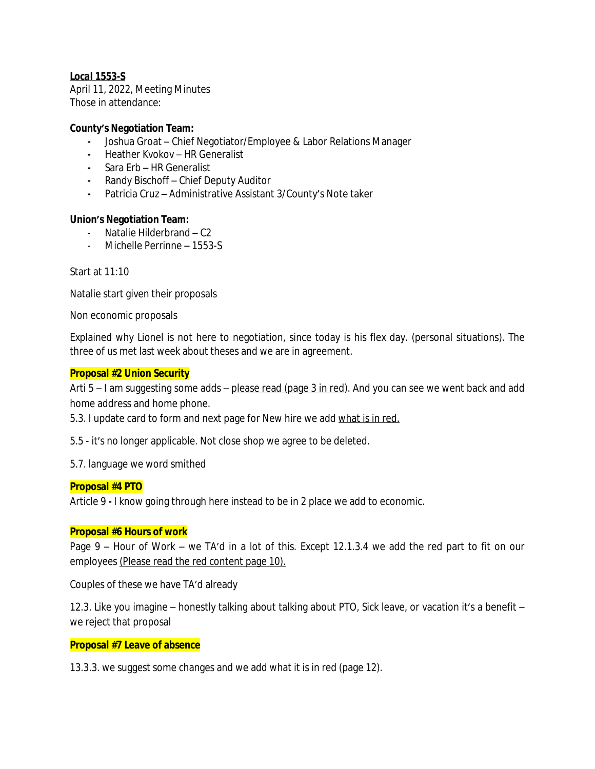# *Local 1553-S*

April 11, 2022, Meeting Minutes Those in attendance:

#### **County's Negotiation Team:**

- **-** Joshua Groat Chief Negotiator/Employee & Labor Relations Manager
- **-** Heather Kvokov HR Generalist
- **-** Sara Erb HR Generalist
- **-** Randy Bischoff Chief Deputy Auditor
- **-** Patricia Cruz Administrative Assistant 3/County's Note taker

# **Union's Negotiation Team:**

- Natalie Hilderbrand C2
- Michelle Perrinne 1553-S

Start at 11:10

Natalie start given their proposals

Non economic proposals

Explained why Lionel is not here to negotiation, since today is his flex day. (personal situations). The three of us met last week about theses and we are in agreement.

#### **Proposal #2 Union Security**

Arti 5 – I am suggesting some adds – please read (page 3 in red). And you can see we went back and add home address and home phone.

5.3. I update card to form and next page for New hire we add what is in red.

5.5 - it's no longer applicable. Not close shop we agree to be deleted.

5.7. language we word smithed

# **Proposal #4 PTO**

Article 9 **-** I know going through here instead to be in 2 place we add to economic.

#### **Proposal #6 Hours of work**

Page 9 – Hour of Work – we TA'd in a lot of this. Except 12.1.3.4 we add the red part to fit on our employees (Please read the red content page 10).

Couples of these we have TA'd already

12.3. Like you imagine – honestly talking about talking about PTO, Sick leave, or vacation it's a benefit – we reject that proposal

#### **Proposal #7 Leave of absence**

13.3.3. we suggest some changes and we add what it is in red (page 12).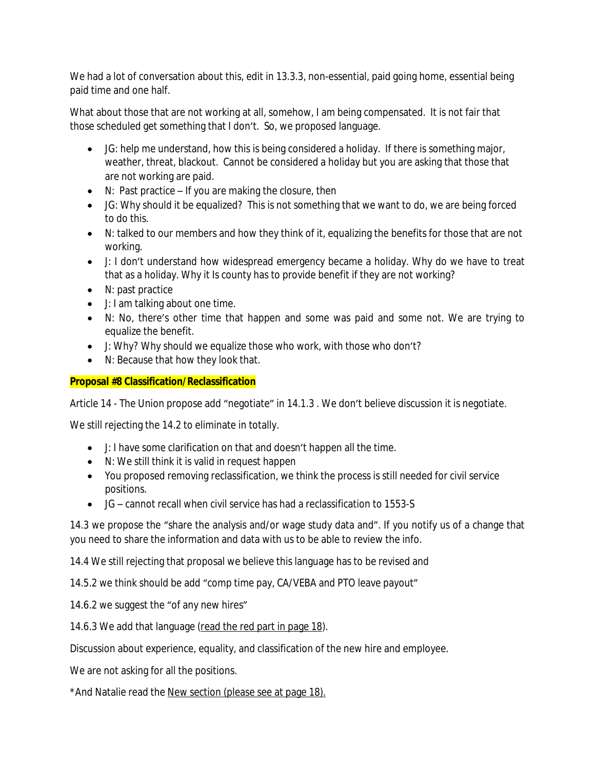We had a lot of conversation about this, edit in 13.3.3, non-essential, paid going home, essential being paid time and one half.

What about those that are not working at all, somehow, I am being compensated. It is not fair that those scheduled get something that I don't. So, we proposed language.

- JG: help me understand, how this is being considered a holiday. If there is something major, weather, threat, blackout. Cannot be considered a holiday but you are asking that those that are not working are paid.
- $\bullet$  N: Past practice If you are making the closure, then
- JG: Why should it be equalized? This is not something that we want to do, we are being forced to do this.
- N: talked to our members and how they think of it, equalizing the benefits for those that are not working.
- J: I don't understand how widespread emergency became a holiday. Why do we have to treat that as a holiday. Why it Is county has to provide benefit if they are not working?
- N: past practice
- J: I am talking about one time.
- N: No, there's other time that happen and some was paid and some not. We are trying to equalize the benefit.
- J: Why? Why should we equalize those who work, with those who don't?
- N: Because that how they look that.

# **Proposal #8 Classification/Reclassification**

Article 14 - The Union propose add "negotiate" in 14.1.3 . We don't believe discussion it is negotiate.

We still rejecting the 14.2 to eliminate in totally.

- J: I have some clarification on that and doesn't happen all the time.
- N: We still think it is valid in request happen
- You proposed removing reclassification, we think the process is still needed for civil service positions.
- JG cannot recall when civil service has had a reclassification to 1553-S

14.3 we propose the "share the analysis and/or wage study data and". If you notify us of a change that you need to share the information and data with us to be able to review the info.

14.4 We still rejecting that proposal we believe this language has to be revised and

14.5.2 we think should be add "comp time pay, CA/VEBA and PTO leave payout"

14.6.2 we suggest the "of any new hires"

14.6.3 We add that language (read the red part in page 18).

Discussion about experience, equality, and classification of the new hire and employee.

We are not asking for all the positions.

\*And Natalie read the New section (please see at page 18).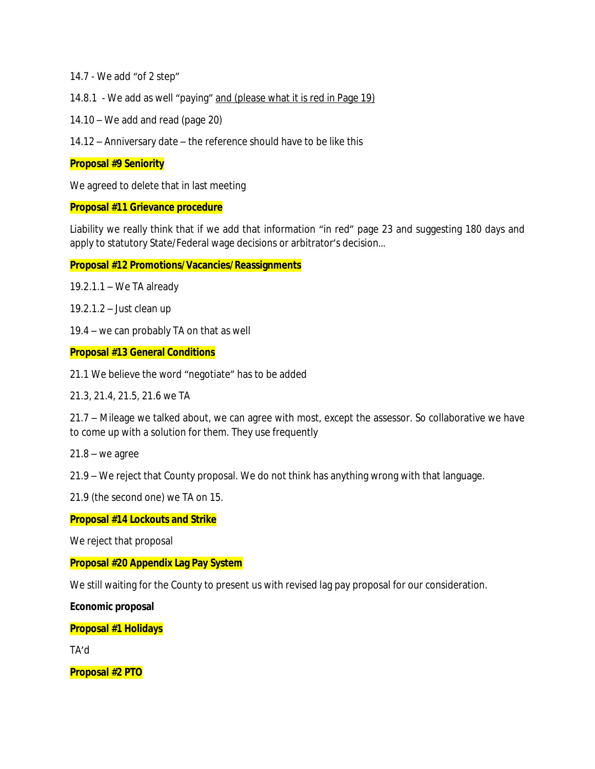14.7 - We add "of 2 step"

14.8.1 - We add as well "paying" and (please what it is red in Page 19)

14.10 – We add and read (page 20)

14.12 – Anniversary date – the reference should have to be like this

#### **Proposal #9 Seniority**

We agreed to delete that in last meeting

#### **Proposal #11 Grievance procedure**

Liability we really think that if we add that information "in red" page 23 and suggesting 180 days and apply to statutory State/Federal wage decisions or arbitrator's decision…

**Proposal #12 Promotions/Vacancies/Reassignments**

19.2.1.1 – We TA already

19.2.1.2 – Just clean up

19.4 – we can probably TA on that as well

**Proposal #13 General Conditions**

21.1 We believe the word "negotiate" has to be added

21.3, 21.4, 21.5, 21.6 we TA

21.7 – Mileage we talked about, we can agree with most, except the assessor. So collaborative we have to come up with a solution for them. They use frequently

 $21.8 -$  we agree

21.9 – We reject that County proposal. We do not think has anything wrong with that language.

21.9 (the second one) we TA on 15.

#### **Proposal #14 Lockouts and Strike**

We reject that proposal

# **Proposal #20 Appendix Lag Pay System**

We still waiting for the County to present us with revised lag pay proposal for our consideration.

**Economic proposal**

**Proposal #1 Holidays**

TA'd

**Proposal #2 PTO**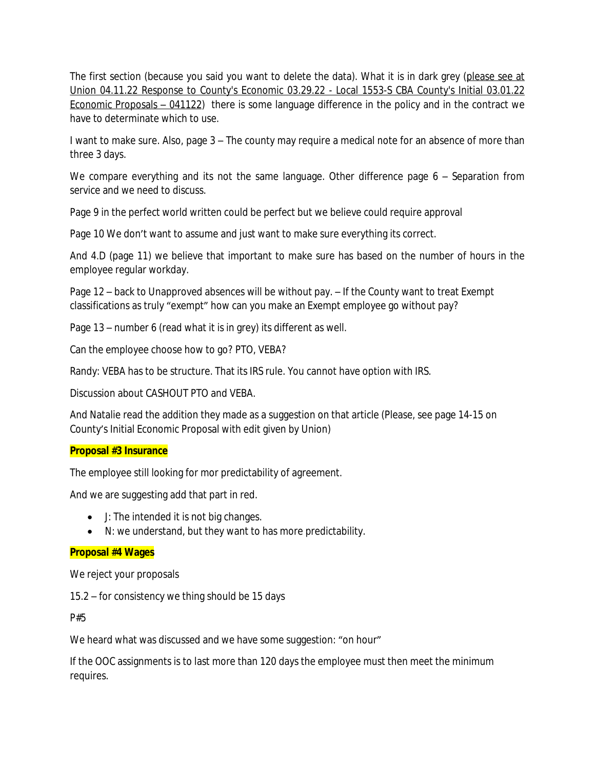The first section (because you said you want to delete the data). What it is in dark grey (please see at Union 04.11.22 Response to County's Economic 03.29.22 - Local 1553-S CBA County's Initial 03.01.22 Economic Proposals – 041122) there is some language difference in the policy and in the contract we have to determinate which to use.

I want to make sure. Also, page 3 – The county may require a medical note for an absence of more than three 3 days.

We compare everything and its not the same language. Other difference page 6 - Separation from service and we need to discuss.

Page 9 in the perfect world written could be perfect but we believe could require approval

Page 10 We don't want to assume and just want to make sure everything its correct.

And 4.D (page 11) we believe that important to make sure has based on the number of hours in the employee regular workday.

Page 12 – back to Unapproved absences will be without pay. – If the County want to treat Exempt classifications as truly "exempt" how can you make an Exempt employee go without pay?

Page 13 – number 6 (read what it is in grey) its different as well.

Can the employee choose how to go? PTO, VEBA?

Randy: VEBA has to be structure. That its IRS rule. You cannot have option with IRS.

Discussion about CASHOUT PTO and VEBA.

And Natalie read the addition they made as a suggestion on that article (Please, see page 14-15 on County's Initial Economic Proposal with edit given by Union)

# **Proposal #3 Insurance**

The employee still looking for mor predictability of agreement.

And we are suggesting add that part in red.

- J: The intended it is not big changes.
- N: we understand, but they want to has more predictability.

# **Proposal #4 Wages**

We reject your proposals

15.2 – for consistency we thing should be 15 days

P#5

We heard what was discussed and we have some suggestion: "on hour"

If the OOC assignments is to last more than 120 days the employee must then meet the minimum requires.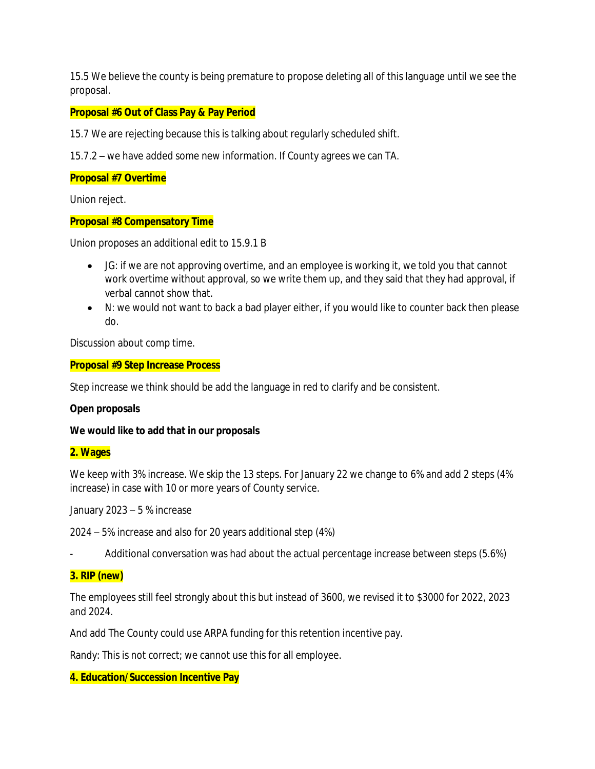15.5 We believe the county is being premature to propose deleting all of this language until we see the proposal.

# **Proposal #6 Out of Class Pay & Pay Period**

15.7 We are rejecting because this is talking about regularly scheduled shift.

15.7.2 – we have added some new information. If County agrees we can TA.

#### **Proposal #7 Overtime**

Union reject.

# **Proposal #8 Compensatory Time**

Union proposes an additional edit to 15.9.1 B

- JG: if we are not approving overtime, and an employee is working it, we told you that cannot work overtime without approval, so we write them up, and they said that they had approval, if verbal cannot show that.
- N: we would not want to back a bad player either, if you would like to counter back then please do.

Discussion about comp time.

#### **Proposal #9 Step Increase Process**

Step increase we think should be add the language in red to clarify and be consistent.

# **Open proposals**

**We would like to add that in our proposals**

#### **2. Wages**

We keep with 3% increase. We skip the 13 steps. For January 22 we change to 6% and add 2 steps (4% increase) in case with 10 or more years of County service.

January 2023 – 5 % increase

2024 – 5% increase and also for 20 years additional step (4%)

Additional conversation was had about the actual percentage increase between steps (5.6%)

# **3. RIP (new)**

The employees still feel strongly about this but instead of 3600, we revised it to \$3000 for 2022, 2023 and 2024.

And add The County could use ARPA funding for this retention incentive pay.

Randy: This is not correct; we cannot use this for all employee.

# **4. Education/Succession Incentive Pay**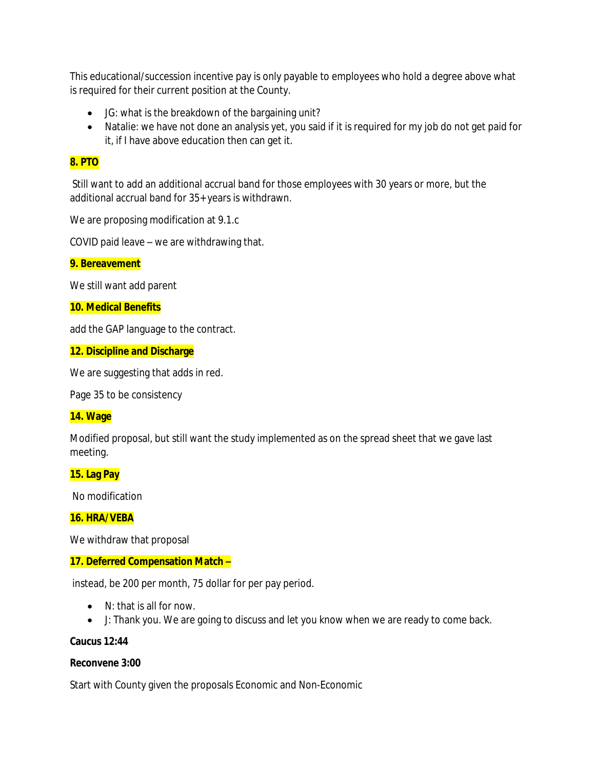This educational/succession incentive pay is only payable to employees who hold a degree above what is required for their current position at the County.

- JG: what is the breakdown of the bargaining unit?
- Natalie: we have not done an analysis yet, you said if it is required for my job do not get paid for it, if I have above education then can get it.

# **8. PTO**

Still want to add an additional accrual band for those employees with 30 years or more, but the additional accrual band for 35+ years is withdrawn.

We are proposing modification at 9.1.c

COVID paid leave – we are withdrawing that.

#### **9. Bereavement**

We still want add parent

#### **10. Medical Benefits**

add the GAP language to the contract.

#### **12. Discipline and Discharge**

We are suggesting that adds in red.

Page 35 to be consistency

# **14. Wage**

Modified proposal, but still want the study implemented as on the spread sheet that we gave last meeting.

# **15. Lag Pay**

No modification

# **16. HRA/VEBA**

We withdraw that proposal

# **17. Deferred Compensation Match –**

instead, be 200 per month, 75 dollar for per pay period.

- N: that is all for now.
- J: Thank you. We are going to discuss and let you know when we are ready to come back.

# **Caucus 12:44**

#### **Reconvene 3:00**

Start with County given the proposals Economic and Non-Economic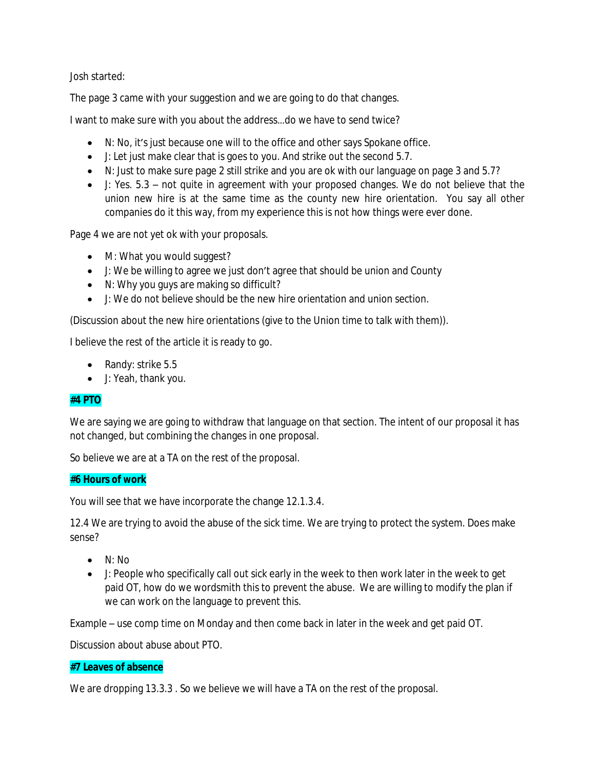Josh started:

The page 3 came with your suggestion and we are going to do that changes.

I want to make sure with you about the address…do we have to send twice?

- N: No, it's just because one will to the office and other says Spokane office.
- J: Let just make clear that is goes to you. And strike out the second 5.7.
- N: Just to make sure page 2 still strike and you are ok with our language on page 3 and 5.7?
- J: Yes. 5.3 not quite in agreement with your proposed changes. We do not believe that the union new hire is at the same time as the county new hire orientation. You say all other companies do it this way, from my experience this is not how things were ever done.

Page 4 we are not yet ok with your proposals.

- M: What you would suggest?
- J: We be willing to agree we just don't agree that should be union and County
- N: Why you guys are making so difficult?
- J: We do not believe should be the new hire orientation and union section.

(Discussion about the new hire orientations (give to the Union time to talk with them)).

I believe the rest of the article it is ready to go.

- Randy: strike 5.5
- J: Yeah, thank you.

# **#4 PTO**

We are saying we are going to withdraw that language on that section. The intent of our proposal it has not changed, but combining the changes in one proposal.

So believe we are at a TA on the rest of the proposal.

# **#6 Hours of work**

You will see that we have incorporate the change 12.1.3.4.

12.4 We are trying to avoid the abuse of the sick time. We are trying to protect the system. Does make sense?

- $\bullet$  N: No
- $\bullet$  J: People who specifically call out sick early in the week to then work later in the week to get paid OT, how do we wordsmith this to prevent the abuse. We are willing to modify the plan if we can work on the language to prevent this.

Example – use comp time on Monday and then come back in later in the week and get paid OT.

Discussion about abuse about PTO.

# **#7 Leaves of absence**

We are dropping 13.3.3 . So we believe we will have a TA on the rest of the proposal.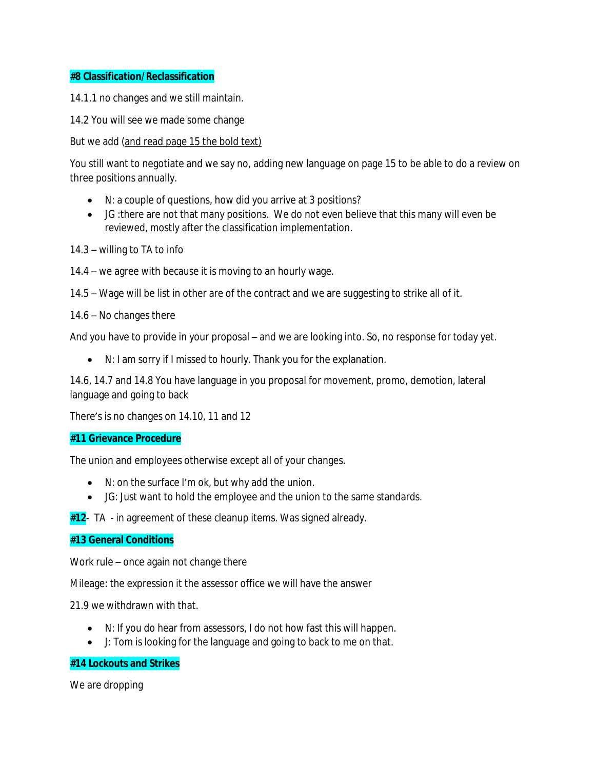# **#8 Classification/Reclassification**

14.1.1 no changes and we still maintain.

14.2 You will see we made some change

But we add (and read page 15 the bold text)

You still want to negotiate and we say no, adding new language on page 15 to be able to do a review on three positions annually.

- N: a couple of questions, how did you arrive at 3 positions?
- JG :there are not that many positions. We do not even believe that this many will even be reviewed, mostly after the classification implementation.

14.3 – willing to TA to info

14.4 – we agree with because it is moving to an hourly wage.

14.5 – Wage will be list in other are of the contract and we are suggesting to strike all of it.

14.6 – No changes there

And you have to provide in your proposal – and we are looking into. So, no response for today yet.

N: I am sorry if I missed to hourly. Thank you for the explanation.

14.6, 14.7 and 14.8 You have language in you proposal for movement, promo, demotion, lateral language and going to back

There's is no changes on 14.10, 11 and 12

#### **#11 Grievance Procedure**

The union and employees otherwise except all of your changes.

- N: on the surface I'm ok, but why add the union.
- JG: Just want to hold the employee and the union to the same standards.

**#12**- TA - in agreement of these cleanup items. Was signed already.

#### **#13 General Conditions**

Work rule – once again not change there

Mileage: the expression it the assessor office we will have the answer

21.9 we withdrawn with that.

- N: If you do hear from assessors, I do not how fast this will happen.
- J: Tom is looking for the language and going to back to me on that.

# **#14 Lockouts and Strikes**

We are dropping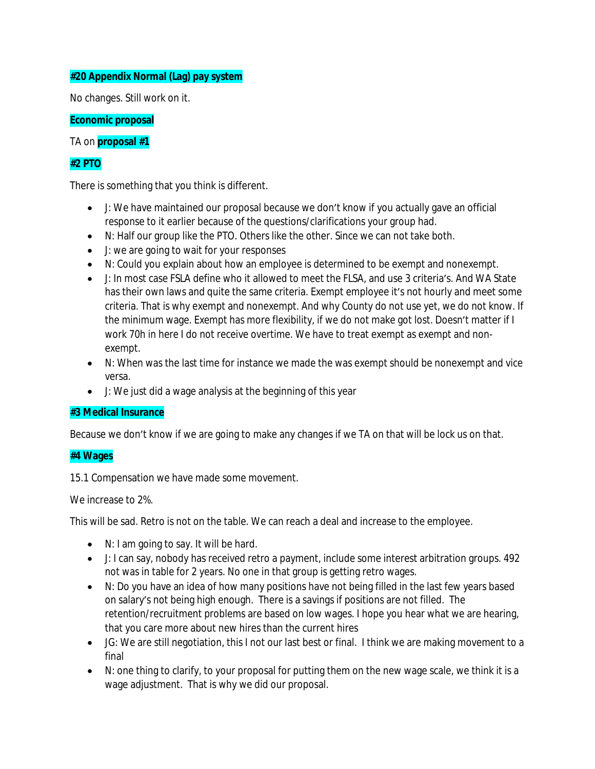# **#20 Appendix Normal (Lag) pay system**

No changes. Still work on it.

**Economic proposal**

TA on **proposal #1**

# **#2 PTO**

There is something that you think is different.

- J: We have maintained our proposal because we don't know if you actually gave an official response to it earlier because of the questions/clarifications your group had.
- N: Half our group like the PTO. Others like the other. Since we can not take both.
- J: we are going to wait for your responses
- N: Could you explain about how an employee is determined to be exempt and nonexempt.
- J: In most case FSLA define who it allowed to meet the FLSA, and use 3 criteria's. And WA State has their own laws and quite the same criteria. Exempt employee it's not hourly and meet some criteria. That is why exempt and nonexempt. And why County do not use yet, we do not know. If the minimum wage. Exempt has more flexibility, if we do not make got lost. Doesn't matter if I work 70h in here I do not receive overtime. We have to treat exempt as exempt and nonexempt.
- N: When was the last time for instance we made the was exempt should be nonexempt and vice versa.
- J: We just did a wage analysis at the beginning of this year

# **#3 Medical Insurance**

Because we don't know if we are going to make any changes if we TA on that will be lock us on that.

# **#4 Wages**

15.1 Compensation we have made some movement.

We increase to 2%

This will be sad. Retro is not on the table. We can reach a deal and increase to the employee.

- N: I am going to say. It will be hard.
- J: I can say, nobody has received retro a payment, include some interest arbitration groups. 492 not was in table for 2 years. No one in that group is getting retro wages.
- N: Do you have an idea of how many positions have not being filled in the last few years based on salary's not being high enough. There is a savings if positions are not filled. The retention/recruitment problems are based on low wages. I hope you hear what we are hearing, that you care more about new hires than the current hires
- JG: We are still negotiation, this I not our last best or final. I think we are making movement to a final
- $\bullet$  N: one thing to clarify, to your proposal for putting them on the new wage scale, we think it is a wage adjustment. That is why we did our proposal.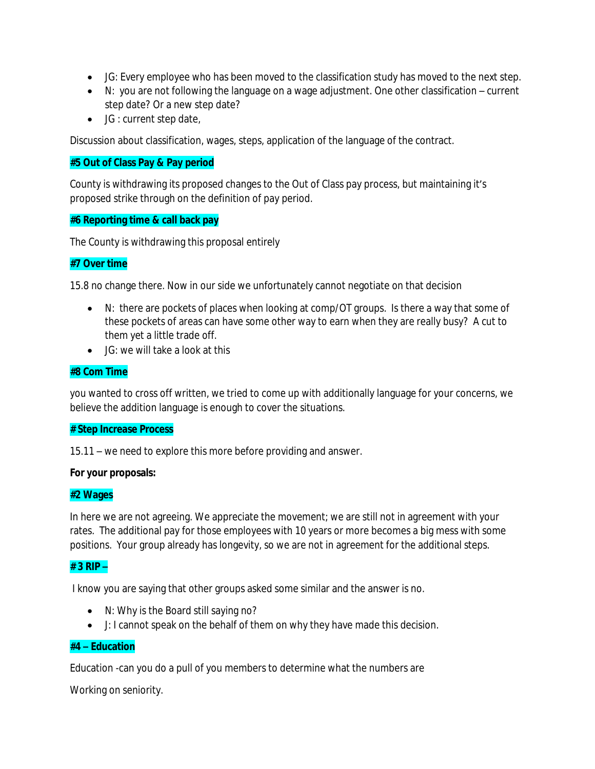- JG: Every employee who has been moved to the classification study has moved to the next step.
- N: you are not following the language on a wage adjustment. One other classification current step date? Or a new step date?
- JG : current step date,

Discussion about classification, wages, steps, application of the language of the contract.

#### **#5 Out of Class Pay & Pay period**

County is withdrawing its proposed changes to the Out of Class pay process, but maintaining it's proposed strike through on the definition of pay period.

#### **#6 Reporting time & call back pay**

The County is withdrawing this proposal entirely

# **#7 Over time**

15.8 no change there. Now in our side we unfortunately cannot negotiate on that decision

- N: there are pockets of places when looking at comp/OT groups. Is there a way that some of these pockets of areas can have some other way to earn when they are really busy? A cut to them yet a little trade off.
- JG: we will take a look at this

# **#8 Com Time**

you wanted to cross off written, we tried to come up with additionally language for your concerns, we believe the addition language is enough to cover the situations.

#### **# Step Increase Process**

15.11 – we need to explore this more before providing and answer.

#### **For your proposals:**

# **#2 Wages**

In here we are not agreeing. We appreciate the movement; we are still not in agreement with your rates. The additional pay for those employees with 10 years or more becomes a big mess with some positions. Your group already has longevity, so we are not in agreement for the additional steps.

# **# 3 RIP –**

I know you are saying that other groups asked some similar and the answer is no.

- N: Why is the Board still saying no?
- J: I cannot speak on the behalf of them on why they have made this decision.

# **#4 – Education**

Education -can you do a pull of you members to determine what the numbers are

Working on seniority.